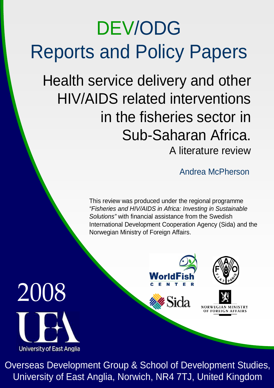# DEV/ODG Reports and Policy Papers

Health service delivery and other HIV/AIDS related interventions in the fisheries sector in Sub-Saharan Africa. A literature review

Andrea McPherson

This review was produced under the regional programme "Fisheries and HIV/AIDS in Africa: Investing in Sustainable Solutions" with financial assistance from the Swedish International Development Cooperation Agency (Sida) and the Norwegian Ministry of Foreign Affairs.





**%Sida** 





Overseas Development Group & School of Development Studies, University of East Anglia, Norwich, NR4 7TJ, United Kingdom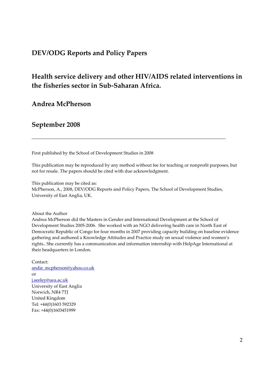#### DEV/ODG Reports and Policy Papers

## Health service delivery and other HIV/AIDS related interventions in the fisheries sector in Sub-Saharan Africa.

#### Andrea McPherson

#### September 2008

First published by the School of Development Studies in 2008

This publication may be reproduced by any method without fee for teaching or nonprofit purposes, but not for resale. The papers should be cited with due acknowledgment.

This publication may be cited as:

McPherson, A., 2008, DEV/ODG Reports and Policy Papers, The School of Development Studies, University of East Anglia, UK.

About the Author

Andrea McPherson did the Masters in Gender and International Development at the School of Development Studies 2005-2006. She worked with an NGO delivering health care in North East of Democratic Republic of Congo for four months in 2007 providing capacity building on baseline evidence gathering and authored a Knowledge Attitudes and Practice study on sexual violence and women's rights.. She currently has a communication and information internship with HelpAge International at their headquarters in London.

Contact: andie\_mcpherson@yahoo.co.uk or j.seeley@uea.ac.uk University of East Anglia Norwich, NR4 7TJ United Kingdom Tel: +44(0)1603 592329 Fax: +44(0)1603451999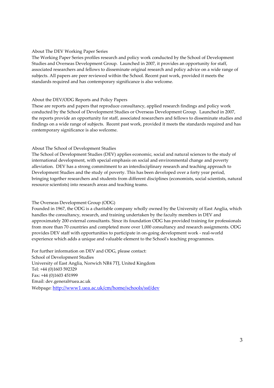#### About The DEV Working Paper Series

The Working Paper Series profiles research and policy work conducted by the School of Development Studies and Overseas Development Group. Launched in 2007, it provides an opportunity for staff, associated researchers and fellows to disseminate original research and policy advice on a wide range of subjects. All papers are peer reviewed within the School. Recent past work, provided it meets the standards required and has contemporary significance is also welcome.

#### About the DEV/ODG Reports and Policy Papers

These are reports and papers that reproduce consultancy, applied research findings and policy work conducted by the School of Development Studies or Overseas Development Group. Launched in 2007, the reports provide an opportunity for staff, associated researchers and fellows to disseminate studies and findings on a wide range of subjects. Recent past work, provided it meets the standards required and has contemporary significance is also welcome.

#### About The School of Development Studies

The School of Development Studies (DEV) applies economic, social and natural sciences to the study of international development, with special emphasis on social and environmental change and poverty alleviation. DEV has a strong commitment to an interdisciplinary research and teaching approach to Development Studies and the study of poverty. This has been developed over a forty year period, bringing together researchers and students from different disciplines (economists, social scientists, natural resource scientists) into research areas and teaching teams.

#### The Overseas Development Group (ODG)

Founded in 1967, the ODG is a charitable company wholly owned by the University of East Anglia, which handles the consultancy, research, and training undertaken by the faculty members in DEV and approximately 200 external consultants. Since its foundation ODG has provided training for professionals from more than 70 countries and completed more over 1,000 consultancy and research assignments. ODG provides DEV staff with opportunities to participate in on-going development work - real-world experience which adds a unique and valuable element to the School's teaching programmes.

For further information on DEV and ODG, please contact: School of Development Studies University of East Anglia, Norwich NR4 7TJ, United Kingdom Tel: +44 (0)1603 592329 Fax: +44 (0)1603 451999 Email: dev.general@uea.ac.uk Webpage: http://www1.uea.ac.uk/cm/home/schools/ssf/dev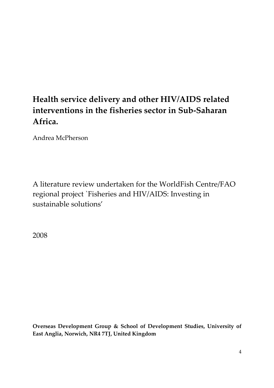## Health service delivery and other HIV/AIDS related interventions in the fisheries sector in Sub-Saharan Africa.

Andrea McPherson

A literature review undertaken for the WorldFish Centre/FAO regional project `Fisheries and HIV/AIDS: Investing in sustainable solutions'

2008

Overseas Development Group & School of Development Studies, University of East Anglia, Norwich, NR4 7TJ, United Kingdom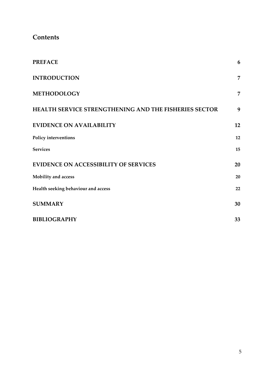#### **Contents**

| <b>PREFACE</b>                                               | 6              |
|--------------------------------------------------------------|----------------|
| <b>INTRODUCTION</b>                                          | $\overline{7}$ |
| <b>METHODOLOGY</b>                                           | $\overline{7}$ |
| <b>HEALTH SERVICE STRENGTHENING AND THE FISHERIES SECTOR</b> | 9              |
| <b>EVIDENCE ON AVAILABILITY</b>                              | 12             |
| Policy interventions                                         | 12             |
| <b>Services</b>                                              | 15             |
| <b>EVIDENCE ON ACCESSIBILITY OF SERVICES</b>                 | 20             |
| Mobility and access                                          | 20             |
| Health seeking behaviour and access                          | 22             |
| <b>SUMMARY</b>                                               | 30             |
| <b>BIBLIOGRAPHY</b>                                          | 33             |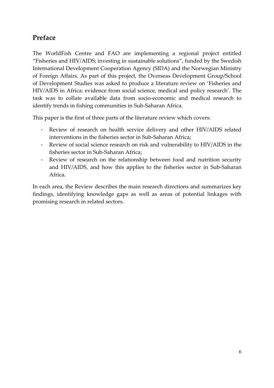## Preface

The WorldFish Centre and FAO are implementing a regional project entitled "Fisheries and HIV/AIDS; investing in sustainable solutions", funded by the Swedish International Development Cooperation Agency (SIDA) and the Norwegian Ministry of Foreign Affairs. As part of this project, the Overseas Development Group/School of Development Studies was asked to produce a literature review on 'Fisheries and HIV/AIDS in Africa: evidence from social science, medical and policy research'. The task was to collate available data from socio-economic and medical research to identify trends in fishing communities in Sub-Saharan Africa.

This paper is the first of three parts of the literature review which covers:

- Review of research on health service delivery and other HIV/AIDS related interventions in the fisheries sector in Sub-Saharan Africa;
- Review of social science research on risk and vulnerability to HIV/AIDS in the fisheries sector in Sub-Saharan Africa;
- Review of research on the relationship between food and nutrition security and HIV/AIDS, and how this applies to the fisheries sector in Sub-Saharan Africa.

In each area, the Review describes the main research directions and summarizes key findings, identifying knowledge gaps as well as areas of potential linkages with promising research in related sectors.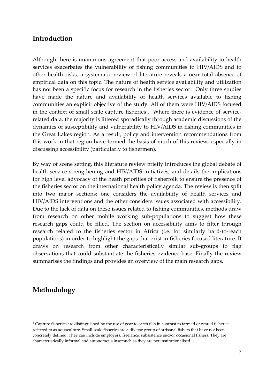#### Introduction

Although there is unanimous agreement that poor access and availability to health services exacerbates the vulnerability of fishing communities to HIV/AIDS and to other health risks, a systematic review of literature reveals a near total absence of empirical data on this topic. The nature of health service availability and utilization has not been a specific focus for research in the fisheries sector. Only three studies have made the nature and availability of health services available to fishing communities an explicit objective of the study. All of them were HIV/AIDS focused in the context of small scale capture fisheries<sup>1</sup>. Where there is evidence of servicerelated data, the majority is littered sporadically through academic discussions of the dynamics of susceptibility and vulnerability to HIV/AIDS in fishing communities in the Great Lakes region. As a result, policy and intervention recommendations from this work in that region have formed the basis of much of this review, especially in discussing accessibility (particularly to fishermen).

By way of scene setting, this literature review briefly introduces the global debate of health service strengthening and HIV/AIDS initiatives, and details the implications for high level advocacy of the heath priorities of fisherfolk to ensure the presence of the fisheries sector on the international health policy agenda. The review is then split into two major sections: one considers the availability of health services and HIV/AIDS interventions and the other considers issues associated with accessibility. Due to the lack of data on these issues related to fishing communities, methods draw from research on other mobile working sub-populations to suggest how these research gaps could be filled. The section on accessibility aims to filter through research related to the fisheries sector in Africa (i.e. for similarly hard-to-reach populations) in order to highlight the gaps that exist in fisheries focused literature. It draws on research from other characteristically similar sub-groups to flag observations that could substantiate the fisheries evidence base. Finally the review summarises the findings and provides an overview of the main research gaps.

## Methodology

 $\overline{a}$ 

<sup>1</sup> Capture fisheries are distinguished by the use of gear to catch fish in contrast to farmed or reared fisheries referred to as aquaculture. Small scale fisheries are a diverse group of artisanal fishers that have not been concretely defined. They can include employers, freelance, subsistence and/or occasional fishers. They are characteristically informal and autonomous insomuch as they are not institutionalised.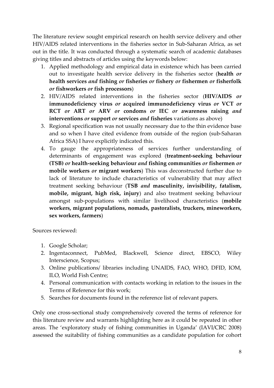The literature review sought empirical research on health service delivery and other HIV/AIDS related interventions in the fisheries sector in Sub-Saharan Africa, as set out in the title. It was conducted through a systematic search of academic databases giving titles and abstracts of articles using the keywords below:

- 1. Applied methodology and empirical data in existence which has been carried out to investigate health service delivery in the fisheries sector (health or health services and fishing or fisheries or fishery or fishermen or fisherfolk or fishworkers or fish processors)
- 2. HIV/AIDS related interventions in the fisheries sector (HIV/AIDS or immunodeficiency virus or acquired immunodeficiency virus or VCT or RCT or ART or ARV or condoms or IEC or awareness raising and interventions or support or services and fisheries variations as above)
- 3. Regional specification was not usually necessary due to the thin evidence base and so when I have cited evidence from outside of the region (sub-Saharan Africa SSA) I have explicitly indicated this.
- 4. To gauge the appropriateness of services further understanding of determinants of engagement was explored (treatment-seeking behaviour (TSB) or health-seeking behaviour and fishing communities or fishermen or mobile workers *or* migrant workers) This was deconstructed further due to lack of literature to include characteristics of vulnerability that may affect treatment seeking behaviour (TSB and masculinity, invisibility, fatalism, mobile, migrant, high risk, injury) and also treatment seeking behaviour amongst sub-populations with similar livelihood characteristics (mobile workers, migrant populations, nomads, pastoralists, truckers, mineworkers, sex workers, farmers)

Sources reviewed:

- 1. Google Scholar;
- 2. Ingentaconnect, PubMed, Blackwell, Science direct, EBSCO, Wiley Interscience, Scopus;
- 3. Online publications/ libraries including UNAIDS, FAO, WHO, DFID, IOM, ILO, World Fish Centre;
- 4. Personal communication with contacts working in relation to the issues in the Terms of Reference for this work;
- 5. Searches for documents found in the reference list of relevant papers.

Only one cross-sectional study comprehensively covered the terms of reference for this literature review and warrants highlighting here as it could be repeated in other areas. The 'exploratory study of fishing communities in Uganda' (IAVI/CRC 2008) assessed the suitability of fishing communities as a candidate population for cohort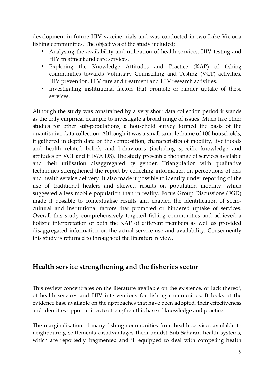development in future HIV vaccine trials and was conducted in two Lake Victoria fishing communities. The objectives of the study included;

- Analysing the availability and utilization of health services, HIV testing and HIV treatment and care services.
- Exploring the Knowledge Attitudes and Practice (KAP) of fishing communities towards Voluntary Counselling and Testing (VCT) activities, HIV prevention, HIV care and treatment and HIV research activities.
- Investigating institutional factors that promote or hinder uptake of these services.

Although the study was constrained by a very short data collection period it stands as the only empirical example to investigate a broad range of issues. Much like other studies for other sub-populations, a household survey formed the basis of the quantitative data collection. Although it was a small sample frame of 100 households, it gathered in depth data on the composition, characteristics of mobility, livelihoods and health related beliefs and behaviours (including specific knowledge and attitudes on VCT and HIV/AIDS). The study presented the range of services available and their utilisation disaggregated by gender. Triangulation with qualitative techniques strengthened the report by collecting information on perceptions of risk and health service delivery. It also made it possible to identify under reporting of the use of traditional healers and skewed results on population mobility, which suggested a less mobile population than in reality. Focus Group Discussions (FGD) made it possible to contextualise results and enabled the identification of sociocultural and institutional factors that promoted or hindered uptake of services. Overall this study comprehensively targeted fishing communities and achieved a holistic interpretation of both the KAP of different members as well as provided disaggregated information on the actual service use and availability. Consequently this study is returned to throughout the literature review.

## Health service strengthening and the fisheries sector

This review concentrates on the literature available on the existence, or lack thereof, of health services and HIV interventions for fishing communities. It looks at the evidence base available on the approaches that have been adopted, their effectiveness and identifies opportunities to strengthen this base of knowledge and practice.

The marginalisation of many fishing communities from health services available to neighbouring settlements disadvantages them amidst Sub-Saharan health systems, which are reportedly fragmented and ill equipped to deal with competing health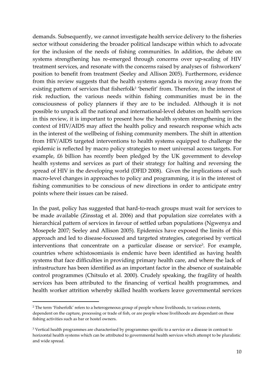demands. Subsequently, we cannot investigate health service delivery to the fisheries sector without considering the broader political landscape within which to advocate for the inclusion of the needs of fishing communities. In addition, the debate on systems strengthening has re-emerged through concerns over up-scaling of HIV treatment services, and resonate with the concerns raised by analyses of fishworkers' position to benefit from treatment (Seeley and Allison 2005). Furthermore, evidence from this review suggests that the health systems agenda is moving away from the existing pattern of services that fisherfolk<sup>2</sup> 'benefit' from. Therefore, in the interest of risk reduction, the various needs within fishing communities must be in the consciousness of policy planners if they are to be included. Although it is not possible to unpack all the national and international-level debates on health services in this review, it is important to present how the health system strengthening in the context of HIV/AIDS may affect the health policy and research response which acts in the interest of the wellbeing of fishing community members. The shift in attention from HIV/AIDS targeted interventions to health systems equipped to challenge the epidemic is reflected by macro policy strategies to meet universal access targets. For example, £6 billion has recently been pledged by the UK government to develop health systems and services as part of their strategy for halting and reversing the spread of HIV in the developing world (DFID 2008). Given the implications of such macro-level changes in approaches to policy and programming, it is in the interest of fishing communities to be conscious of new directions in order to anticipate entry points where their issues can be raised.

In the past, policy has suggested that hard-to-reach groups must wait for services to be made available (Zinsstag et al. 2006) and that population size correlates with a hierarchical pattern of services in favour of settled urban populations (Ngwenya and Mosepele 2007; Seeley and Allison 2005). Epidemics have exposed the limits of this approach and led to disease-focussed and targeted strategies, categorised by vertical interventions that concentrate on a particular disease or service<sup>3</sup>. For example, countries where schistosomiasis is endemic have been identified as having health systems that face difficulties in providing primary health care, and where the lack of infrastructure has been identified as an important factor in the absence of sustainable control programmes (Chitsulo et al. 2000). Crudely speaking, the fragility of health services has been attributed to the financing of vertical health programmes, and health worker attrition whereby skilled health workers leave governmental services

 $\overline{a}$ 

<sup>2</sup> The term 'Fisherfolk' refers to a heterogeneous group of people whose livelihoods, to various extents, dependent on the capture, processing or trade of fish, or are people whose livelihoods are dependant on these fishing activities such as bar or hostel owners.

<sup>3</sup> Vertical health programmes are characterised by programmes specific to a service or a disease in contrast to horizontal health systems which can be attributed to governmental health services which attempt to be pluralistic and wide spread.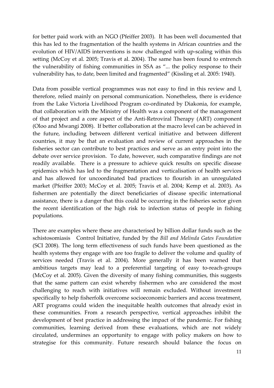for better paid work with an NGO (Pfeiffer 2003). It has been well documented that this has led to the fragmentation of the health systems in African countries and the evolution of HIV/AIDS interventions is now challenged with up-scaling within this setting (McCoy et al. 2005; Travis et al. 2004). The same has been found to entrench the vulnerability of fishing communities in SSA as "... the policy response to their vulnerability has, to date, been limited and fragmented" (Kissling et al. 2005: 1940).

Data from possible vertical programmes was not easy to find in this review and I, therefore, relied mainly on personal communication. Nonetheless, there is evidence from the Lake Victoria Livelihood Program co-ordinated by Diakonia, for example, that collaboration with the Ministry of Health was a component of the management of that project and a core aspect of the Anti-Retroviral Therapy (ART) component (Oloo and Mwangi 2008). If better collaboration at the macro level can be achieved in the future, including between different vertical initiative and between different countries, it may be that an evaluation and review of current approaches in the fisheries sector can contribute to best practices and serve as an entry point into the debate over service provision. To date, however, such comparative findings are not readily available. There is a pressure to achieve quick results on specific disease epidemics which has led to the fragmentation and verticalisation of health services and has allowed for uncoordinated bad practices to flourish in an unregulated market (Pfeiffer 2003; McCoy et al. 2005; Travis et al. 2004; Kemp et al. 2003). As fishermen are potentially the direct beneficiaries of disease specific international assistance, there is a danger that this could be occurring in the fisheries sector given the recent identification of the high risk to infection status of people in fishing populations.

There are examples where these are characterised by billion dollar funds such as the schistosomiasis Control Initiative, funded by the Bill and Melinda Gates Foundation (SCI 2008). The long term effectiveness of such funds have been questioned as the health systems they engage with are too fragile to deliver the volume and quality of services needed (Travis et al. 2004). More generally it has been warned that ambitious targets may lead to a preferential targeting of easy to-reach-groups (McCoy et al. 2005). Given the diversity of many fishing communities, this suggests that the same pattern can exist whereby fishermen who are considered the most challenging to reach with initiatives will remain excluded. Without investment specifically to help fisherfolk overcome socioeconomic barriers and access treatment, ART programs could widen the inequitable health outcomes that already exist in these communities. From a research perspective, vertical approaches inhibit the development of best practice in addressing the impact of the pandemic. For fishing communities, learning derived from these evaluations, which are not widely circulated, undermines an opportunity to engage with policy makers on how to strategise for this community. Future research should balance the focus on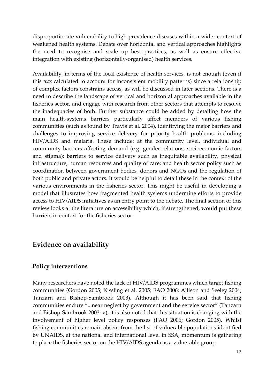disproportionate vulnerability to high prevalence diseases within a wider context of weakened health systems. Debate over horizontal and vertical approaches highlights the need to recognise and scale up best practices, as well as ensure effective integration with existing (horizontally-organised) health services.

Availability, in terms of the local existence of health services, is not enough (even if this was calculated to account for inconsistent mobility patterns) since a relationship of complex factors constrains access, as will be discussed in later sections. There is a need to describe the landscape of vertical and horizontal approaches available in the fisheries sector, and engage with research from other sectors that attempts to resolve the inadequacies of both. Further substance could be added by detailing how the main health-systems barriers particularly affect members of various fishing communities (such as found by Travis et al. 2004), identifying the major barriers and challenges to improving service delivery for priority health problems, including HIV/AIDS and malaria. These include: at the community level, individual and community barriers affecting demand (e.g. gender relations, socioeconomic factors and stigma); barriers to service delivery such as inequitable availability, physical infrastructure, human resources and quality of care; and health sector policy such as coordination between government bodies, donors and NGOs and the regulation of both public and private actors. It would be helpful to detail these in the context of the various environments in the fisheries sector. This might be useful in developing a model that illustrates how fragmented health systems undermine efforts to provide access to HIV/AIDS initiatives as an entry point to the debate. The final section of this review looks at the literature on accessibility which, if strengthened, would put these barriers in context for the fisheries sector.

## Evidence on availability

#### Policy interventions

Many researchers have noted the lack of HIV/AIDS programmes which target fishing communities (Gordon 2005; Kissling et al. 2005; FAO 2006; Allison and Seeley 2004; Tanzarn and Bishop-Sambrook 2003). Although it has been said that fishing communities endure "...near neglect by government and the service sector" (Tanzarn and Bishop-Sambrook 2003: v), it is also noted that this situation is changing with the involvement of higher level policy responses (FAO 2006; Gordon 2005). Whilst fishing communities remain absent from the list of vulnerable populations identified by UNAIDS, at the national and international level in SSA, momentum is gathering to place the fisheries sector on the HIV/AIDS agenda as a vulnerable group.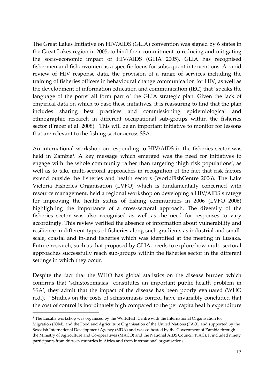The Great Lakes Initiative on HIV/AIDS (GLIA) convention was signed by 6 states in the Great Lakes region in 2005, to bind their commitment to reducing and mitigating the socio-economic impact of HIV/AIDS (GLIA 2005). GLIA has recognised fishermen and fisherwomen as a specific focus for subsequent interventions. A rapid review of HIV response data, the provision of a range of services including the training of fisheries officers in behavioural change communication for HIV, as well as the development of information education and communication (IEC) that 'speaks the language of the ports' all form part of the GLIA strategic plan. Given the lack of empirical data on which to base these initiatives, it is reassuring to find that the plan includes sharing best practices and commissioning epidemiological and ethnographic research in different occupational sub-groups within the fisheries sector (Frazer et al. 2008). This will be an important initiative to monitor for lessons that are relevant to the fishing sector across SSA.

An international workshop on responding to HIV/AIDS in the fisheries sector was held in Zambia<sup>4</sup>. A key message which emerged was the need for initiatives to engage with the whole community rather than targeting 'high risk populations', as well as to take multi-sectoral approaches in recognition of the fact that risk factors extend outside the fisheries and health sectors (WorldFishCentre 2006). The Lake Victoria Fisheries Organisation (LVFO) which is fundamentally concerned with resource management, held a regional workshop on developing a HIV/AIDS strategy for improving the health status of fishing communities in 2006 (LVFO 2006) highlighting the importance of a cross-sectoral approach. The diversity of the fisheries sector was also recognised as well as the need for responses to vary accordingly. This review verified the absence of information about vulnerability and resilience in different types of fisheries along such gradients as industrial and smallscale, coastal and in-land fisheries which was identified at the meeting in Lusaka. Future research, such as that proposed by GLIA, needs to explore how multi-sectoral approaches successfully reach sub-groups within the fisheries sector in the different settings in which they occur.

Despite the fact that the WHO has global statistics on the disease burden which confirms that 'schistosomiasis constitutes an important public health problem in SSA', they admit that the impact of the disease has been poorly evaluated (WHO n.d.). "Studies on the costs of schistomiasis control have invariably concluded that the cost of control is inordinately high compared to the per capita health expenditure l

<sup>4</sup> The Lusaka workshop was organised by the WorldFish Centre with the International Organisation for Migration (IOM), and the Food and Agriculture Organisation of the United Nations (FAO), and supported by the Swedish International Development Agency (SIDA) and was co-hosted by the Government of Zambia through the Ministry of Agriculture and Co-operatives (MACO) and the National AIDS Council (NAC). It included ninety participants from thirteen countries in Africa and from international organisations.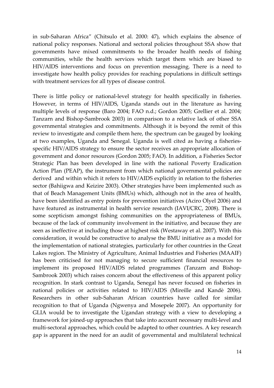in sub-Saharan Africa" (Chitsulo et al. 2000: 47), which explains the absence of national policy responses. National and sectoral policies throughout SSA show that governments have mixed commitments to the broader health needs of fishing communities, while the health services which target them which are biased to HIV/AIDS interventions and focus on prevention messaging. There is a need to investigate how health policy provides for reaching populations in difficult settings with treatment services for all types of disease control.

There is little policy or national-level strategy for health specifically in fisheries. However, in terms of HIV/AIDS, Uganda stands out in the literature as having multiple levels of response (Baro 2004; FAO n.d.; Gordon 2005; Grellier et al. 2004; Tanzarn and Bishop-Sambrook 2003) in comparison to a relative lack of other SSA governmental strategies and commitments. Although it is beyond the remit of this review to investigate and compile them here, the spectrum can be gauged by looking at two examples, Uganda and Senegal. Uganda is well cited as having a fisheriesspecific HIV/AIDS strategy to ensure the sector receives an appropriate allocation of government and donor resources (Gordon 2005; FAO). In addition, a Fisheries Sector Strategic Plan has been developed in line with the national Poverty Eradication Action Plan (PEAP), the instrument from which national governmental policies are derived and within which it refers to HIV/AIDS explicitly in relation to the fisheries sector (Bahiigwa and Keizire 2003). Other strategies have been implemented such as that of Beach Management Units (BMUs) which, although not in the area of health, have been identified as entry points for prevention initiatives (Aciro Olyel 2006) and have featured as instrumental in health service research (IAVI/CRC, 2008). There is some scepticism amongst fishing communities on the appropriateness of BMUs, because of the lack of community involvement in the initiative, and because they are seen as ineffective at including those at highest risk (Westaway et al. 2007). With this consideration, it would be constructive to analyse the BMU initiative as a model for the implementation of national strategies, particularly for other countries in the Great Lakes region. The Ministry of Agriculture, Animal Industries and Fisheries (MAAIF) has been criticised for not managing to secure sufficient financial resources to implement its proposed HIV/AIDS related programmes (Tanzarn and Bishop-Sambrook 2003) which raises concern about the effectiveness of this apparent policy recognition. In stark contrast to Uganda, Senegal has never focused on fisheries in national policies or activities related to HIV/AIDS (Mireille and Kandè 2006). Researchers in other sub-Saharan African countries have called for similar recognition to that of Uganda (Ngwenya and Mosepele 2007). An opportunity for GLIA would be to investigate the Ugandan strategy with a view to developing a framework for joined-up approaches that take into account necessary multi-level and multi-sectoral approaches, which could be adapted to other countries. A key research gap is apparent in the need for an audit of governmental and multilateral technical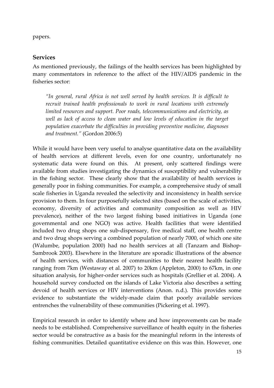papers.

#### Services

As mentioned previously, the failings of the health services has been highlighted by many commentators in reference to the affect of the HIV/AIDS pandemic in the fisheries sector:

"In general, rural Africa is not well served by health services. It is difficult to recruit trained health professionals to work in rural locations with extremely limited resources and support. Poor roads, telecommunications and electricity, as well as lack of access to clean water and low levels of education in the target population exacerbate the difficulties in providing preventive medicine, diagnoses and treatment." (Gordon 2006:5)

While it would have been very useful to analyse quantitative data on the availability of health services at different levels, even for one country, unfortunately no systematic data were found on this. At present, only scattered findings were available from studies investigating the dynamics of susceptibility and vulnerability in the fishing sector. These clearly show that the availability of health services is generally poor in fishing communities. For example, a comprehensive study of small scale fisheries in Uganda revealed the selectivity and inconsistency in health service provision to them. In four purposefully selected sites (based on the scale of activities, economy, diversity of activities and community composition as well as HIV prevalence), neither of the two largest fishing based initiatives in Uganda (one governmental and one NGO) was active. Health facilities that were identified included two drug shops one sub-dispensary, five medical staff, one health centre and two drug shops serving a combined population of nearly 7000, of which one site (Walumbe, population 2000) had no health services at all (Tanzarn and Bishop-Sambrook 2003). Elsewhere in the literature are sporadic illustrations of the absence of health services, with distances of communities to their nearest health facility ranging from 7km (Westaway et al. 2007) to 20km (Appleton, 2000) to 67km, in one situation analysis, for higher-order services such as hospitals (Grellier et al. 2004). A household survey conducted on the islands of Lake Victoria also describes a setting devoid of health services or HIV interventions (Anon. n.d.). This provides some evidence to substantiate the widely-made claim that poorly available services entrenches the vulnerability of these communities (Pickering et al. 1997).

Empirical research in order to identify where and how improvements can be made needs to be established. Comprehensive surveillance of health equity in the fisheries sector would be constructive as a basis for the meaningful reform in the interests of fishing communities. Detailed quantitative evidence on this was thin. However, one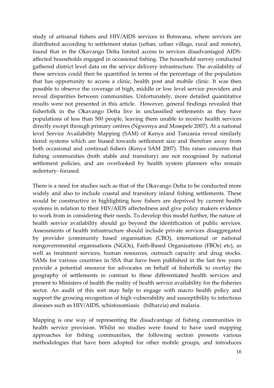study of artisanal fishers and HIV/AIDS services in Botswana, where services are distributed according to settlement status (urban, urban village, rural and remote), found that in the Okavango Delta limited access to services disadvantaged AIDSaffected households engaged in occasional fishing. The household survey conducted gathered district level data on the service delivery infrastructure. The availability of these services could then be quantified in terms of the percentage of the population that has opportunity to access a clinic, health post and mobile clinic. It was then possible to observe the coverage of high, middle or low level service providers and reveal disparities between communities. Unfortunately, more detailed quantitative results were not presented in this article. However, general findings revealed that fisherfolk in the Okavango Delta live in unclassified settlements as they have populations of less than 500 people, leaving them unable to receive health services directly except through primary centres (Ngwenya and Mosepele 2007). At a national level Service Availability Mapping (SAM) of Kenya and Tanzania reveal similarly tiered systems which are biased towards settlement size and therefore away from both occasional and continual fishers (Kenya SAM 2007). This raises concerns that fishing communities (both stable and transitory) are not recognised by national settlement policies, and are overlooked by health system planners who remain sedentary- focused.

There is a need for studies such as that of the Okavango Delta to be conducted more widely and also to include coastal and transitory inland fishing settlements. These would be constructive in highlighting how fishers are deprived by current health systems in relation to their HIV/AIDS affectedness and give policy makers evidence to work from in considering their needs. To develop this model further, the nature of health service availability should go beyond the identification of public services. Assessments of health infrastructure should include private services disaggregated by provider (community based organisation (CBO), international or national nongovernmental organisations (NGOs), Faith-Based Organisations (FBOs) etc), as well as treatment services, human resources, outreach capacity and drug stocks. SAMs for various countries in SSA that have been published in the last few years provide a potential resource for advocates on behalf of fisherfolk to overlay the geography of settlements in contrast to these differentiated health services and present to Ministers of health the reality of health service availability for the fisheries sector. An audit of this sort may help to engage with macro health policy and support the growing recognition of high vulnerability and susceptibility to infectious diseases such as HIV/AIDS, schistosomiasis (bilharzia) and malaria.

Mapping is one way of representing the disadvantage of fishing communities in health service provision. Whilst no studies were found to have used mapping approaches for fishing communities, the following section presents various methodologies that have been adopted for other mobile groups, and introduces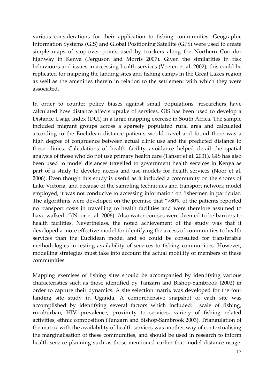various considerations for their application to fishing communities. Geographic Information Systems (GIS) and Global Positioning Satellite (GPS) were used to create simple maps of stop-over points used by truckers along the Northern Corridor highway in Kenya (Ferguson and Morris 2007). Given the similarities in risk behaviours and issues in accessing health services (Voeten et al. 2002), this could be replicated for mapping the landing sites and fishing camps in the Great Lakes region as well as the amenities therein in relation to the settlement with which they were associated.

In order to counter policy biases against small populations, researchers have calculated how distance affects uptake of services. GIS has been used to develop a Distance Usage Index (DUI) in a large mapping exercise in South Africa. The sample included migrant groups across a sparsely populated rural area and calculated according to the Euclidean distance patients would travel and found there was a high degree of congruence between actual clinic use and the predicted distance to these clinics. Calculations of health facility avoidance helped detail the spatial analysis of those who do not use primary health care (Tanser et al. 2001). GIS has also been used to model distances travelled to government health services in Kenya as part of a study to develop access and use models for health services (Noor et al. 2006). Even though this study is useful as it included a community on the shores of Lake Victoria, and because of the sampling techniques and transport network model employed, it was not conducive to accessing information on fishermen in particular. The algorithms were developed on the premise that ">80% of the patients reported no transport costs in travelling to health facilities and were therefore assumed to have walked..."(Noor et al. 2006). Also water courses were deemed to be barriers to health facilities. Nevertheless, the noted achievement of the study was that it developed a more effective model for identifying the access of communities to health services than the Euclidean model and so could be consulted for transferable methodologies in testing availability of services to fishing communities. However, modelling strategies must take into account the actual mobility of members of these communities.

Mapping exercises of fishing sites should be accompanied by identifying various characteristics such as those identified by Tanzarn and Bishop-Sambrook (2002) in order to capture their dynamics. A site selection matrix was developed for the four landing site study in Uganda. A comprehensive snapshot of each site was accomplished by identifying several factors which included: scale of fishing, rural/urban, HIV prevalence, proximity to services, variety of fishing related activities, ethnic composition (Tanzarn and Bishop-Sambrook 2003). Triangulation of the matrix with the availability of health services was another way of contextualising the marginalisation of these communities, and should be used in research to inform health service planning such as those mentioned earlier that model distance usage.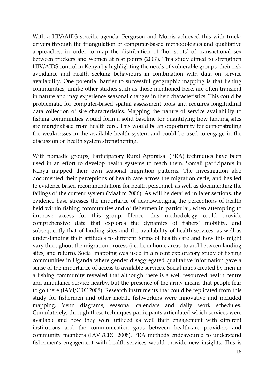With a HIV/AIDS specific agenda, Ferguson and Morris achieved this with truckdrivers through the triangulation of computer-based methodologies and qualitative approaches, in order to map the distribution of 'hot spots' of transactional sex between truckers and women at rest points (2007). This study aimed to strengthen HIV/AIDS control in Kenya by highlighting the needs of vulnerable groups, their risk avoidance and health seeking behaviours in combination with data on service availability. One potential barrier to successful geographic mapping is that fishing communities, unlike other studies such as those mentioned here, are often transient in nature and may experience seasonal changes in their characteristics. This could be problematic for computer-based spatial assessment tools and requires longitudinal data collection of site characteristics. Mapping the nature of service availability to fishing communities would form a solid baseline for quantifying how landing sites are marginalised from health care. This would be an opportunity for demonstrating the weaknesses in the available health system and could be used to engage in the discussion on health system strengthening.

With nomadic groups, Participatory Rural Appraisal (PRA) techniques have been used in an effort to develop health systems to reach them. Somali participants in Kenya mapped their own seasonal migration patterns. The investigation also documented their perceptions of health care across the migration cycle, and has led to evidence based recommendations for health personnel, as well as documenting the failings of the current system (Maalim 2006). As will be detailed in later sections, the evidence base stresses the importance of acknowledging the perceptions of health held within fishing communities and of fishermen in particular, when attempting to improve access for this group. Hence, this methodology could provide comprehensive data that explores the dynamics of fishers' mobility, and subsequently that of landing sites and the availability of health services, as well as understanding their attitudes to different forms of health care and how this might vary throughout the migration process (i.e. from home areas, to and between landing sites, and return). Social mapping was used in a recent exploratory study of fishing communities in Uganda where gender disaggregated qualitative information gave a sense of the importance of access to available services. Social maps created by men in a fishing community revealed that although there is a well resourced health centre and ambulance service nearby, but the presence of the army means that people fear to go there (IAVI/CRC 2008). Research instruments that could be replicated from this study for fishermen and other mobile fishworkers were innovative and included mapping, Venn diagrams, seasonal calendars and daily work schedules. Cumulatively, through these techniques participants articulated which services were available and how they were utilized as well their engagement with different institutions and the communication gaps between healthcare providers and community members (IAVI/CRC 2008). PRA methods endeavoured to understand fishermen's engagement with health services would provide new insights. This is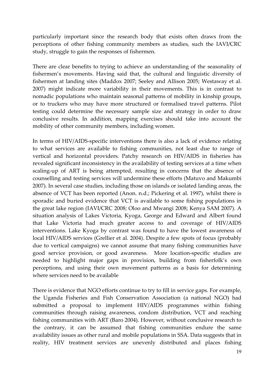particularly important since the research body that exists often draws from the perceptions of other fishing community members as studies, such the IAVI/CRC study, struggle to gain the responses of fishermen.

There are clear benefits to trying to achieve an understanding of the seasonality of fishermen's movements. Having said that, the cultural and linguistic diversity of fishermen at landing sites (Maddox 2007; Seeley and Allison 2005; Westaway et al. 2007) might indicate more variability in their movements. This is in contrast to nomadic populations who maintain seasonal patterns of mobility in kinship groups, or to truckers who may have more structured or formalised travel patterns. Pilot testing could determine the necessary sample size and strategy in order to draw conclusive results. In addition, mapping exercises should take into account the mobility of other community members, including women.

In terms of HIV/AIDS-specific interventions there is also a lack of evidence relating to what services are available to fishing communities, not least due to range of vertical and horizontal providers. Patchy research on HIV/AIDS in fisheries has revealed significant inconsistency in the availability of testing services at a time when scaling-up of ART is being attempted, resulting in concerns that the absence of counselling and testing services will undermine these efforts (Matuvo and Makumbi 2007). In several case studies, including those on islands or isolated landing areas, the absence of VCT has been reported (Anon. n.d.; Pickering et al. 1997), whilst there is sporadic and buried evidence that VCT is available to some fishing populations in the great lake region (IAVI/CRC 2008; Oloo and Mwangi 2008; Kenya SAM 2007). A situation analysis of Lakes Victoria, Kyoga, George and Edward and Albert found that Lake Victoria had much greater access to and coverage of HIV/AIDS interventions. Lake Kyoga by contrast was found to have the lowest awareness of local HIV/AIDS services (Grellier et al. 2004). Despite a few spots of focus (probably due to vertical campaigns) we cannot assume that many fishing communities have good service provision, or good awareness. More location-specific studies are needed to highlight major gaps in provision, building from fisherfolk's own perceptions, and using their own movement patterns as a basis for determining where services need to be available

There is evidence that NGO efforts continue to try to fill in service gaps. For example, the Uganda Fisheries and Fish Conservation Association (a national NGO) had submitted a proposal to implement HIV/AIDS programmes within fishing communities through raising awareness, condom distribution, VCT and reaching fishing communities with ART (Baro 2004). However, without conclusive research to the contrary, it can be assumed that fishing communities endure the same availability issues as other rural and mobile populations in SSA. Data suggests that in reality, HIV treatment services are unevenly distributed and places fishing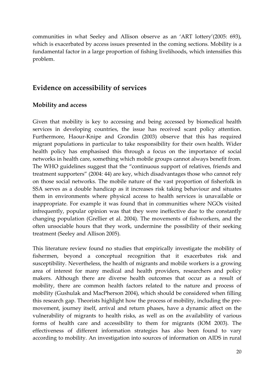communities in what Seeley and Allison observe as an 'ART lottery'(2005: 693), which is exacerbated by access issues presented in the coming sections. Mobility is a fundamental factor in a large proportion of fishing livelihoods, which intensifies this problem.

## Evidence on accessibility of services

#### Mobility and access

Given that mobility is key to accessing and being accessed by biomedical health services in developing countries, the issue has received scant policy attention. Furthermore, Haour-Knipe and Grondin (2003) observe that this has required migrant populations in particular to take responsibility for their own health. Wider health policy has emphasised this through a focus on the importance of social networks in health care, something which mobile groups cannot always benefit from. The WHO guidelines suggest that the "continuous support of relatives, friends and treatment supporters" (2004: 44) are key, which disadvantages those who cannot rely on those social networks. The mobile nature of the vast proportion of fisherfolk in SSA serves as a double handicap as it increases risk taking behaviour and situates them in environments where physical access to health services is unavailable or inappropriate. For example it was found that in communities where NGOs visited infrequently, popular opinion was that they were ineffective due to the constantly changing population (Grellier et al. 2004). The movements of fishworkers, and the often unsociable hours that they work, undermine the possibility of their seeking treatment (Seeley and Allison 2005).

This literature review found no studies that empirically investigate the mobility of fishermen, beyond a conceptual recognition that it exacerbates risk and susceptibility. Nevertheless, the health of migrants and mobile workers is a growing area of interest for many medical and health providers, researchers and policy makers. Although there are diverse health outcomes that occur as a result of mobility, there are common health factors related to the nature and process of mobility (Gushulak and MacPherson 2004), which should be considered when filling this research gap. Theorists highlight how the process of mobility, including the premovement, journey itself, arrival and return phases, have a dynamic affect on the vulnerability of migrants to health risks, as well as on the availability of various forms of health care and accessibility to them for migrants (IOM 2003). The effectiveness of different information strategies has also been found to vary according to mobility. An investigation into sources of information on AIDS in rural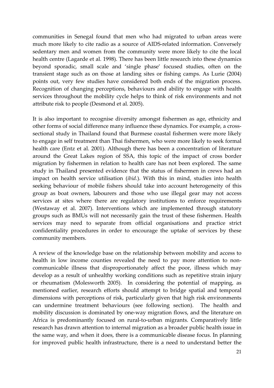communities in Senegal found that men who had migrated to urban areas were much more likely to cite radio as a source of AIDS-related information. Conversely sedentary men and women from the community were more likely to cite the local health centre (Lagarde et al. 1998). There has been little research into these dynamics beyond sporadic, small scale and 'single phase' focused studies, often on the transient stage such as on those at landing sites or fishing camps. As Lurie (2004) points out, very few studies have considered both ends of the migration process. Recognition of changing perceptions, behaviours and ability to engage with health services throughout the mobility cycle helps to think of risk environments and not attribute risk to people (Desmond et al. 2005).

It is also important to recognise diversity amongst fishermen as age, ethnicity and other forms of social difference many influence these dynamics. For example, a crosssectional study in Thailand found that Burmese coastal fishermen were more likely to engage in self treatment than Thai fishermen, who were more likely to seek formal health care (Entz et al. 2001). Although there has been a concentration of literature around the Great Lakes region of SSA, this topic of the impact of cross border migration by fishermen in relation to health care has not been explored. The same study in Thailand presented evidence that the status of fishermen in crews had an impact on health service utilisation (ibid.). With this in mind, studies into health seeking behaviour of mobile fishers should take into account heterogeneity of this group as boat owners, labourers and those who use illegal gear may not access services at sites where there are regulatory institutions to enforce requirements (Westaway et al. 2007). Interventions which are implemented through statutory groups such as BMUs will not necessarily gain the trust of these fishermen. Health services may need to separate from official organisations and practice strict confidentiality procedures in order to encourage the uptake of services by these community members.

A review of the knowledge base on the relationship between mobility and access to health in low income counties revealed the need to pay more attention to noncommunicable illness that disproportionately affect the poor, illness which may develop as a result of unhealthy working conditions such as repetitive strain injury or rheumatism (Molesworth 2005). In considering the potential of mapping, as mentioned earlier, research efforts should attempt to bridge spatial and temporal dimensions with perceptions of risk, particularly given that high risk environments can undermine treatment behaviours (see following section). The health and mobility discussion is dominated by one-way migration flows, and the literature on Africa is predominantly focused on rural-to-urban migrants. Comparatively little research has drawn attention to internal migration as a broader public health issue in the same way, and when it does, there is a communicable disease focus. In planning for improved public health infrastructure, there is a need to understand better the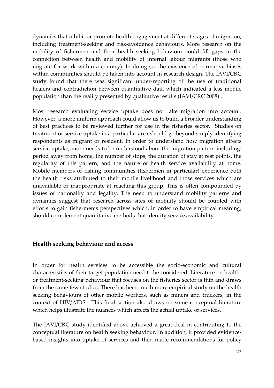dynamics that inhibit or promote health engagement at different stages of migration, including treatment-seeking and risk-avoidance behaviours. More research on the mobility of fishermen and their health seeking behaviour could fill gaps in the connection between health and mobility of internal labour migrants (those who migrate for work within a country). In doing so, the existence of normative biases within communities should be taken into account in research design. The IAVI/CRC study found that there was significant under-reporting of the use of traditional healers and contradiction between quantitative data which indicated a less mobile population than the reality presented by qualitative results (IAVI/CRC 2008) .

Most research evaluating service uptake does not take migration into account. However, a more uniform approach could allow us to build a broader understanding of best practices to be reviewed further for use in the fisheries sector. Studies on treatment or service uptake in a particular area should go beyond simply identifying respondents as migrant or resident. In order to understand how migration affects service uptake, more needs to be understood about the migration pattern including: period away from home, the number of stops, the duration of stay at rest points, the regularity of this pattern, and the nature of health service availability at home. Mobile members of fishing communities (fishermen in particular) experience both the health risks attributed to their mobile livelihood and those services which are unavailable or inappropriate at reaching this group. This is often compounded by issues of nationality and legality. The need to understand mobility patterns and dynamics suggest that research across sites of mobility should be coupled with efforts to gain fishermen's perspectives which, in order to have empirical meaning, should complement quantitative methods that identify service availability.

#### Health seeking behaviour and access

In order for health services to be accessible the socio-economic and cultural characteristics of their target population need to be considered. Literature on healthor treatment-seeking behaviour that focuses on the fisheries sector is thin and draws from the same few studies. There has been much more empirical study on the health seeking behaviours of other mobile workers, such as miners and truckers, in the context of HIV/AIDS. This final section also draws on some conceptual literature which helps illustrate the nuances which affects the actual uptake of services.

The IAVI/CRC study identified above achieved a great deal in contributing to the conceptual literature on health seeking behaviour. In addition, it provided evidencebased insights into uptake of services and then made recommendations for policy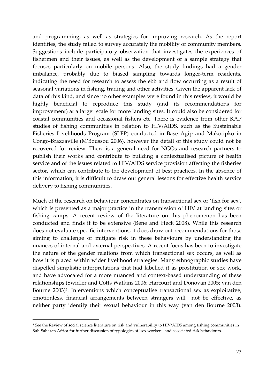and programming, as well as strategies for improving research. As the report identifies, the study failed to survey accurately the mobility of community members. Suggestions include participatory observation that investigates the experiences of fishermen and their issues, as well as the development of a sample strategy that focuses particularly on mobile persons. Also, the study findings had a gender imbalance, probably due to biased sampling towards longer-term residents, indicating the need for research to assess the ebb and flow occurring as a result of seasonal variations in fishing, trading and other activities. Given the apparent lack of data of this kind, and since no other examples were found in this review, it would be highly beneficial to reproduce this study (and its recommendations for improvement) at a larger scale for more landing sites. It could also be considered for coastal communities and occasional fishers etc. There is evidence from other KAP studies of fishing communities in relation to HIV/AIDS, such as the Sustainable Fisheries Livelihoods Program (SLFP) conducted in Base Agip and Makotipko in Congo-Brazzaville (M'Boussou 2006), however the detail of this study could not be recovered for review. There is a general need for NGOs and research partners to publish their works and contribute to building a contextualised picture of health service and of the issues related to HIV/AIDS service provision affecting the fisheries sector, which can contribute to the development of best practices. In the absence of this information, it is difficult to draw out general lessons for effective health service delivery to fishing communities.

Much of the research on behaviour concentrates on transactional sex or 'fish for sex', which is presented as a major practice in the transmission of HIV at landing sites or fishing camps. A recent review of the literature on this phenomenon has been conducted and finds it to be extensive (Bene and Heck 2008). While this research does not evaluate specific interventions, it does draw out recommendations for those aiming to challenge or mitigate risk in these behaviours by understanding the nuances of internal and external perspectives. A recent focus has been to investigate the nature of the gender relations from which transactional sex occurs, as well as how it is placed within wider livelihood strategies. Many ethnographic studies have dispelled simplistic interpretations that had labelled it as prostitution or sex work, and have advocated for a more nuanced and context-based understanding of these relationships (Swidler and Cotts Watkins 2006; Harcourt and Donovan 2005; van den Bourne 2003)<sup>5</sup>. Interventions which conceptualise transactional sex as exploitative, emotionless, financial arrangements between strangers will not be effective, as neither party identify their sexual behaviour in this way (van den Bourne 2003).

 $\overline{a}$ 

<sup>5</sup> See the Review of social science literature on risk and vulnerability to HIV/AIDS among fishing communities in Sub-Saharan Africa for further discussion of typologies of 'sex workers' and associated risk behaviours.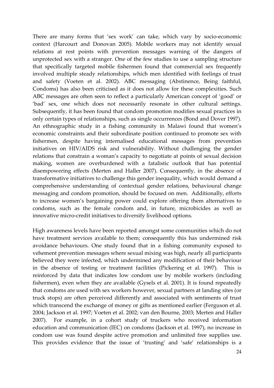There are many forms that 'sex work' can take, which vary by socio-economic context (Harcourt and Donovan 2005). Mobile workers may not identify sexual relations at rest points with prevention messages warning of the dangers of unprotected sex with a stranger. One of the few studies to use a sampling structure that specifically targeted mobile fishermen found that commercial sex frequently involved multiple steady relationships, which men identified with feelings of trust and safety (Voeten et al. 2002). ABC messaging (Abstinence, Being faithful, Condoms) has also been criticised as it does not allow for these complexities. Such ABC messages are often seen to reflect a particularly American concept of 'good' or 'bad' sex, one which does not necessarily resonate in other cultural settings. Subsequently, it has been found that condom promotion modifies sexual practices in only certain types of relationships, such as single occurrences (Bond and Dover 1997). An ethnographic study in a fishing community in Malawi found that women's economic constraints and their subordinate position continued to promote sex with fishermen, despite having internalised educational messages from prevention initiatives on HIV/AIDS risk and vulnerability. Without challenging the gender relations that constrain a woman's capacity to negotiate at points of sexual decision making, women are overburdened with a fatalistic outlook that has potential disempowering effects (Merten and Haller 2007). Consequently, in the absence of transformative initiatives to challenge this gender inequality, which would demand a comprehensive understanding of contextual gender relations, behavioural change messaging and condom promotion, should be focused on men. Additionally, efforts to increase women's bargaining power could explore offering them alternatives to condoms, such as the female condom and, in future, microbicides as well as innovative micro-credit initiatives to diversify livelihood options.

High awareness levels have been reported amongst some communities which do not have treatment services available to them; consequently this has undermined risk avoidance behaviours. One study found that in a fishing community exposed to vehement prevention messages where sexual mixing was high, nearly all participants believed they were infected, which undermined any modification of their behaviour in the absence of testing or treatment facilities (Pickering et al. 1997). This is reinforced by data that indicates low condom use by mobile workers (including fishermen), even when they are available (Gysels et al. 2001). It is found repeatedly that condoms are used with sex workers however, sexual partners at landing sites (or truck stops) are often perceived differently and associated with sentiments of trust which transcend the exchange of money or gifts as mentioned earlier (Ferguson et al. 2004; Jackson et al. 1997; Voeten et al. 2002; van den Bourne, 2003; Merten and Haller 2007). For example, in a cohort study of truckers who received information education and communication (IEC) on condoms (Jackson et al. 1997), no increase in condom use was found despite active promotion and unlimited free supplies use. This provides evidence that the issue of 'trusting' and 'safe' relationships is a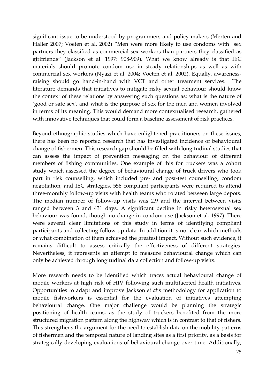significant issue to be understood by programmers and policy makers (Merten and Haller 2007; Voeten et al. 2002) "Men were more likely to use condoms with sex partners they classified as commercial sex workers than partners they classified as girlfriends" (Jackson et al. 1997: 908-909). What we know already is that IEC materials should promote condom use in steady relationships as well as with commercial sex workers (Nyazi et al. 2004; Voeten et al. 2002). Equally, awarenessraising should go hand-in-hand with VCT and other treatment services. literature demands that initiatives to mitigate risky sexual behaviour should know the context of these relations by answering such questions as: what is the nature of 'good or safe sex', and what is the purpose of sex for the men and women involved in terms of its meaning. This would demand more contextualised research, gathered with innovative techniques that could form a baseline assessment of risk practices.

Beyond ethnographic studies which have enlightened practitioners on these issues, there has been no reported research that has investigated incidence of behavioural change of fishermen. This research gap should be filled with longitudinal studies that can assess the impact of prevention messaging on the behaviour of different members of fishing communities. One example of this for truckers was a cohort study which assessed the degree of behavioural change of truck drivers who took part in risk counselling, which included pre- and post-test counselling, condom negotiation, and IEC strategies. 556 compliant participants were required to attend three-monthly follow-up visits with health teams who rotated between large depots. The median number of follow-up visits was 2.9 and the interval between visits ranged between 3 and 431 days. A significant decline in risky heterosexual sex behaviour was found, though no change in condom use (Jackson et al. 1997). There were several clear limitations of this study in terms of identifying compliant participants and collecting follow up data. In addition it is not clear which methods or what combination of them achieved the greatest impact. Without such evidence, it remains difficult to assess critically the effectiveness of different strategies. Nevertheless, it represents an attempt to measure behavioural change which can only be achieved through longitudinal data collection and follow-up visits.

More research needs to be identified which traces actual behavioural change of mobile workers at high risk of HIV following such multifaceted health initiatives. Opportunities to adapt and improve Jackson et al's methodology for application to mobile fishworkers is essential for the evaluation of initiatives attempting behavioural change. One major challenge would be planning the strategic positioning of health teams, as the study of truckers benefited from the more structured migration pattern along the highway which is in contrast to that of fishers. This strengthens the argument for the need to establish data on the mobility patterns of fishermen and the temporal nature of landing sites as a first priority, as a basis for strategically developing evaluations of behavioural change over time. Additionally,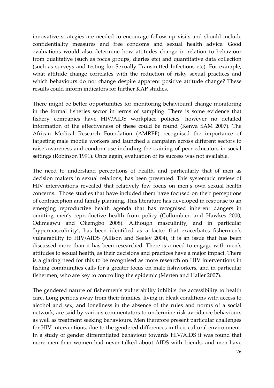innovative strategies are needed to encourage follow up visits and should include confidentiality measures and free condoms and sexual health advice. Good evaluations would also determine how attitudes change in relation to behaviour from qualitative (such as focus groups, diaries etc) and quantitative data collection (such as surveys and testing for Sexually Transmitted Infections etc). For example, what attitude change correlates with the reduction of risky sexual practices and which behaviours do not change despite apparent positive attitude change? These results could inform indicators for further KAP studies.

There might be better opportunities for monitoring behavioural change monitoring in the formal fisheries sector in terms of sampling. There is some evidence that fishery companies have HIV/AIDS workplace policies, however no detailed information of the effectiveness of these could be found (Kenya SAM 2007). The African Medical Research Foundation (AMREF) recognised the importance of targeting male mobile workers and launched a campaign across different sectors to raise awareness and condom use including the training of peer educators in social settings (Robinson 1991). Once again, evaluation of its success was not available.

The need to understand perceptions of health, and particularly that of men as decision makers in sexual relations, has been presented. This systematic review of HIV interventions revealed that relatively few focus on men's own sexual health concerns. Those studies that have included them have focused on their perceptions of contraception and family planning. This literature has developed in response to an emerging reproductive health agenda that has recognised inherent dangers in omitting men's reproductive health from policy (Collumbien and Hawkes 2000; Odimegwu and Okemgbo 2008). Although masculinity, and in particular 'hypermasculinity', has been identified as a factor that exacerbates fishermen's vulnerability to HIV/AIDS (Allison and Seeley 2004), it is an issue that has been discussed more than it has been researched. There is a need to engage with men's attitudes to sexual health, as their decisions and practices have a major impact. There is a glaring need for this to be recognised as more research on HIV interventions in fishing communities calls for a greater focus on male fishworkers, and in particular fishermen, who are key to controlling the epidemic (Merten and Haller 2007).

The gendered nature of fishermen's vulnerability inhibits the accessibility to health care. Long periods away from their families, living in bleak conditions with access to alcohol and sex, and loneliness in the absence of the rules and norms of a social network, are said by various commentators to undermine risk avoidance behaviours as well as treatment seeking behaviours. Men therefore present particular challenges for HIV interventions, due to the gendered differences in their cultural environment. In a study of gender differentiated behaviour towards HIV/AIDS it was found that more men than women had never talked about AIDS with friends, and men have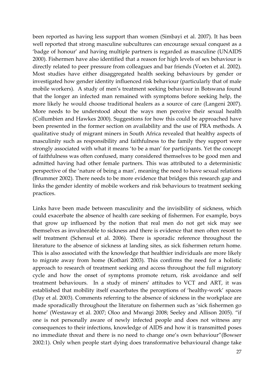been reported as having less support than women (Simbayi et al. 2007). It has been well reported that strong masculine subcultures can encourage sexual conquest as a 'badge of honour' and having multiple partners is regarded as masculine (UNAIDS 2000). Fishermen have also identified that a reason for high levels of sex behaviour is directly related to peer pressure from colleagues and bar friends (Voeten et al. 2002). Most studies have either disaggregated health seeking behaviours by gender or investigated how gender identity influenced risk behaviour (particularly that of male mobile workers). A study of men's treatment seeking behaviour in Botswana found that the longer an infected man remained with symptoms before seeking help, the more likely he would choose traditional healers as a source of care (Langeni 2007). More needs to be understood about the ways men perceive their sexual health (Collumbien and Hawkes 2000). Suggestions for how this could be approached have been presented in the former section on availability and the use of PRA methods. A qualitative study of migrant miners in South Africa revealed that healthy aspects of masculinity such as responsibility and faithfulness to the family they support were strongly associated with what it means 'to be a man' for participants. Yet the concept of faithfulness was often confused, many considered themselves to be good men and admitted having had other female partners. This was attributed to a deterministic perspective of the 'nature of being a man', meaning the need to have sexual relations (Brummer 2002). There needs to be more evidence that bridges this research gap and links the gender identity of mobile workers and risk behaviours to treatment seeking practices.

Links have been made between masculinity and the invisibility of sickness, which could exacerbate the absence of health care seeking of fishermen. For example, boys that grow up influenced by the notion that real men do not get sick may see themselves as invulnerable to sickness and there is evidence that men often resort to self treatment (Schensul et al. 2006). There is sporadic reference throughout the literature to the absence of sickness at landing sites, as sick fishermen return home. This is also associated with the knowledge that healthier individuals are more likely to migrate away from home (Kothari 2003). This confirms the need for a holistic approach to research of treatment seeking and access throughout the full migratory cycle and how the onset of symptoms promote return, risk avoidance and self treatment behaviours. In a study of miners' attitudes to VCT and ART, it was established that mobility itself exacerbates the perceptions of 'healthy-work' spaces (Day et al. 2003). Comments referring to the absence of sickness in the workplace are made sporadically throughout the literature on fishermen such as 'sick fishermen go home' (Westaway et al. 2007; Oloo and Mwangi 2008; Seeley and Allison 2005). "if one is not personally aware of newly infected people and does not witness any consequences to their infections, knowledge of AIDS and how it is transmitted poses no immediate threat and there is no need to change one's own behaviour"(Bowser 2002:1). Only when people start dying does transformative behavioural change take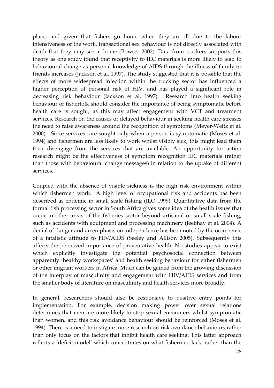place, and given that fishers go home when they are ill due to the labour intensiveness of the work, transactional sex behaviour is not directly associated with death that they may see at home (Bowser 2002). Data from truckers supports this theory as one study found that receptivity to IEC materials is more likely to lead to behavioural change as personal knowledge of AIDS through the illness of family or friends increases (Jackson et al. 1997). The study suggested that it is possible that the effects of more widespread infection within the trucking sector has influenced a higher perception of personal risk of HIV, and has played a significant role in decreasing risk behaviour (Jackson et al. 1997). Research into health seeking behaviour of fisherfolk should consider the importance of being symptomatic before health care is sought, as this may affect engagement with VCT and treatment services. Research on the causes of delayed behaviour in seeking health care stresses the need to raise awareness around the recognition of symptoms (Meyer-Weitz et al. 2000). Since services are sought only when a person is symptomatic (Moses et al. 1994) and fishermen are less likely to work whilst visibly sick, this might lead them their disengage from the services that are available. An opportunity for action research might be the effectiveness of symptom recognition IEC materials (rather than those with behavioural change messages) in relation to the uptake of different services.

Coupled with the absence of visible sickness is the high risk environment within which fishermen work. A high level of occupational risk and accidents has been described as endemic in small scale fishing (ILO 1999). Quantitative data from the formal fish processing sector in South Africa gives some idea of the health issues that occur in other areas of the fisheries sector beyond artisanal or small scale fishing, such as accidents with equipment and processing machinery (Jeebhay et al. 2004). A denial of danger and an emphasis on independence has been noted by the occurrence of a fatalistic attitude to HIV/AIDS (Seeley and Allison 2005). Subsequently this affects the perceived importance of preventative health. No studies appear to exist which explicitly investigate the potential psychosocial connection between apparently 'healthy workspaces' and health seeking behaviour for either fishermen or other migrant workers in Africa. Much can be gained from the growing discussion of the interplay of masculinity and engagement with HIV/AIDS services and from the smaller body of literature on masculinity and health services more broadly.

In general, researchers should also be responsive to positive entry points for implementation. For example, decision making power over sexual relations determines that men are more likely to stop sexual encounters whilst symptomatic than women, and this risk avoidance behaviour should be reinforced (Moses et al. 1994). There is a need to instigate more research on risk avoidance behaviours rather than only focus on the factors that inhibit health care seeking. This latter approach reflects a 'deficit model' which concentrates on what fishermen lack, rather than the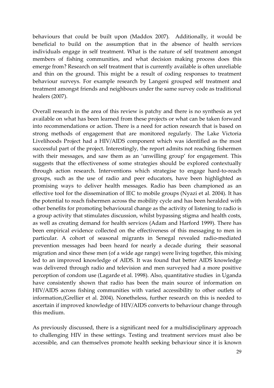behaviours that could be built upon (Maddox 2007). Additionally, it would be beneficial to build on the assumption that in the absence of health services individuals engage in self treatment. What is the nature of self treatment amongst members of fishing communities, and what decision making process does this emerge from? Research on self treatment that is currently available is often unreliable and thin on the ground. This might be a result of coding responses to treatment behaviour surveys. For example research by Langeni grouped self treatment and treatment amongst friends and neighbours under the same survey code as traditional healers (2007).

Overall research in the area of this review is patchy and there is no synthesis as yet available on what has been learned from these projects or what can be taken forward into recommendations or action. There is a need for action research that is based on strong methods of engagement that are monitored regularly. The Lake Victoria Livelihoods Project had a HIV/AIDS component which was identified as the most successful part of the project. Interestingly, the report admits not reaching fishermen with their messages, and saw them as an 'unwilling group' for engagement. This suggests that the effectiveness of some strategies should be explored contextually through action research. Interventions which strategise to engage hard-to-reach groups, such as the use of radio and peer educators, have been highlighted as promising ways to deliver health messages. Radio has been championed as an effective tool for the dissemination of IEC to mobile groups (Nyazi et al. 2004). It has the potential to reach fishermen across the mobility cycle and has been heralded with other benefits for promoting behavioural change as the activity of listening to radio is a group activity that stimulates discussion, whilst bypassing stigma and health costs, as well as creating demand for health services (Adam and Harford 1999). There has been empirical evidence collected on the effectiveness of this messaging to men in particular. A cohort of seasonal migrants in Senegal revealed radio-mediated prevention messages had been heard for nearly a decade during their seasonal migration and since these men (of a wide age range) were living together, this mixing led to an improved knowledge of AIDS. It was found that better AIDS knowledge was delivered through radio and television and men surveyed had a more positive perception of condom use (Lagarde et al. 1998). Also, quantitative studies in Uganda have consistently shown that radio has been the main source of information on HIV/AIDS across fishing communities with varied accessibility to other outlets of information,(Grellier et al. 2004). Nonetheless, further research on this is needed to ascertain if improved knowledge of HIV/AIDS converts to behaviour change through this medium.

As previously discussed, there is a significant need for a multidisciplinary approach to challenging HIV in these settings. Testing and treatment services must also be accessible, and can themselves promote health seeking behaviour since it is known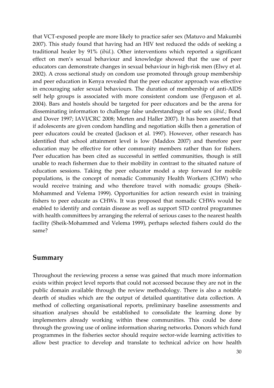that VCT-exposed people are more likely to practice safer sex (Matuvo and Makumbi 2007). This study found that having had an HIV test reduced the odds of seeking a traditional healer by 91% (ibid.). Other interventions which reported a significant effect on men's sexual behaviour and knowledge showed that the use of peer educators can demonstrate changes in sexual behaviour in high-risk men (Elwy et al. 2002). A cross sectional study on condom use promoted through group membership and peer education in Kenya revealed that the peer educator approach was effective in encouraging safer sexual behaviours. The duration of membership of anti-AIDS self help groups is associated with more consistent condom use (Ferguson et al. 2004). Bars and hostels should be targeted for peer educators and be the arena for disseminating information to challenge false understandings of safe sex (ibid.; Bond and Dover 1997; IAVI/CRC 2008; Merten and Haller 2007). It has been asserted that if adolescents are given condom handling and negotiation skills then a generation of peer educators could be created (Jackson et al. 1997). However, other research has identified that school attainment level is low (Maddox 2007) and therefore peer education may be effective for other community members rather than for fishers. Peer education has been cited as successful in settled communities, though is still unable to reach fishermen due to their mobility in contrast to the situated nature of education sessions. Taking the peer educator model a step forward for mobile populations, is the concept of nomadic Community Health Workers (CHW) who would receive training and who therefore travel with nomadic groups (Sheik-Mohammed and Velema 1999). Opportunities for action research exist in training fishers to peer educate as CHWs. It was proposed that nomadic CHWs would be enabled to identify and contain disease as well as support STD control programmes with health committees by arranging the referral of serious cases to the nearest health facility (Sheik-Mohammed and Velema 1999), perhaps selected fishers could do the same?

#### Summary

Throughout the reviewing process a sense was gained that much more information exists within project level reports that could not accessed because they are not in the public domain available through the review methodology. There is also a notable dearth of studies which are the output of detailed quantitative data collection. A method of collecting organisational reports, preliminary baseline assessments and situation analyses should be established to consolidate the learning done by implementers already working within these communities. This could be done through the growing use of online information sharing networks. Donors which fund programmes in the fisheries sector should require sector-wide learning activities to allow best practice to develop and translate to technical advice on how health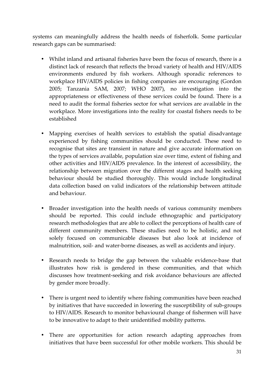systems can meaningfully address the health needs of fisherfolk. Some particular research gaps can be summarised:

- Whilst inland and artisanal fisheries have been the focus of research, there is a distinct lack of research that reflects the broad variety of health and HIV/AIDS environments endured by fish workers. Although sporadic references to workplace HIV/AIDS policies in fishing companies are encouraging (Gordon 2005; Tanzania SAM, 2007; WHO 2007), no investigation into the appropriateness or effectiveness of these services could be found. There is a need to audit the formal fisheries sector for what services are available in the workplace. More investigations into the reality for coastal fishers needs to be established
- Mapping exercises of health services to establish the spatial disadvantage experienced by fishing communities should be conducted. These need to recognise that sites are transient in nature and give accurate information on the types of services available, population size over time, extent of fishing and other activities and HIV/AIDS prevalence. In the interest of accessibility, the relationship between migration over the different stages and health seeking behaviour should be studied thoroughly. This would include longitudinal data collection based on valid indicators of the relationship between attitude and behaviour.
- Broader investigation into the health needs of various community members should be reported. This could include ethnographic and participatory research methodologies that are able to collect the perceptions of health care of different community members. These studies need to be holistic, and not solely focused on communicable diseases but also look at incidence of malnutrition, soil- and water-borne diseases, as well as accidents and injury.
- Research needs to bridge the gap between the valuable evidence-base that illustrates how risk is gendered in these communities, and that which discusses how treatment-seeking and risk avoidance behaviours are affected by gender more broadly.
- There is urgent need to identify where fishing communities have been reached by initiatives that have succeeded in lowering the susceptibility of sub-groups to HIV/AIDS. Research to monitor behavioural change of fishermen will have to be innovative to adapt to their unidentified mobility patterns.
- There are opportunities for action research adapting approaches from initiatives that have been successful for other mobile workers. This should be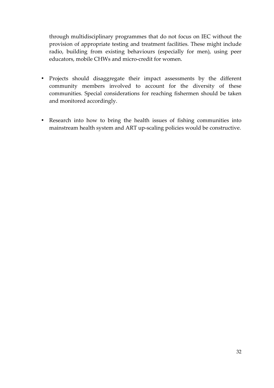through multidisciplinary programmes that do not focus on IEC without the provision of appropriate testing and treatment facilities. These might include radio, building from existing behaviours (especially for men), using peer educators, mobile CHWs and micro-credit for women.

- Projects should disaggregate their impact assessments by the different community members involved to account for the diversity of these communities. Special considerations for reaching fishermen should be taken and monitored accordingly.
- Research into how to bring the health issues of fishing communities into mainstream health system and ART up-scaling policies would be constructive.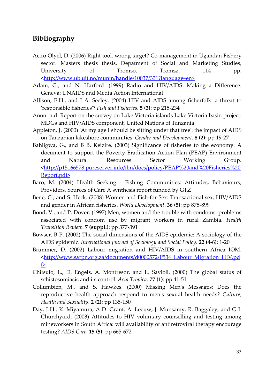#### Bibliography

- Aciro Olyel, D. (2006) Right tool, wrong target? Co-management in Ugandan Fishery sector. Masters thesis thesis. Depatment of Social and Marketing Studies, University of Tromsø, Tromsø. 114 pp. <http://www.ub.uit.no/munin/handle/10037/331?language=en>
- Adam, G., and N. Harford. (1999) Radio and HIV/AIDS: Making a Difference. Geneva: UNAIDS and Media Action International
- Allison, E.H., and J A. Seeley. (2004) HIV and AIDS among fisherfolk: a threat to 'responsible fisheries'? Fish and Fisheries. 5 (3): pp 215-234
- Anon. n.d. Report on the survey on Lake Victoria islands Lake Victoria basin project: MDGs and HIV/AIDS component, United Nations of Tanzania
- Appleton, J. (2000) 'At my age I should be sitting under that tree': the impact of AIDS on Tanzanian lakeshore communities. Gender and Development. 8 (2): pp 19-27
- Bahiigwa, G., and B B. Keizire. (2003) Significance of fisheries to the economy: A document to support the Poverty Eradication Action Plan (PEAP) Environment and Natural Resources Sector Working Group. <http://p15166578.pureserver.info/ilm/docs/policy/PEAP%20and%20Fisheries%20 Report.pdf>
- Baro, M. (2004) Health Seeking Fishing Communities: Attitudes, Behaviours, Providers, Sources of Care A synthesis report funded by GTZ
- Bene, C., and S. Heck. (2008) Women and Fish-for-Sex: Transactional sex, HIV/AIDS and gender in African fisheries. World Development. 36 (5): pp 875-899
- Bond, V., and P. Dover. (1997) Men, women and the trouble with condoms: problems associated with condom use by migrant workers in rural Zambia. Health Transition Review. 7 (suppl.): pp 377-391
- Bowser, B P. (2002) The social dimensions of the AIDS epidemic: A sociology of the AIDS epidemic. International Journal of Sociology and Social Policy. 22 (4-6): 1-20
- Brummer, D. (2002) Labour migration and HIV/AIDS in southern Africa IOM. <http://www.sarpn.org.za/documents/d0000572/P534\_Labour\_Migration\_HIV.pd f>
- Chitsulo, L., D. Engels, A. Montresor, and L. Savioli. (2000) The global status of schistosomiasis and its control. Acta Tropica. 77 (1): pp 41-51
- Collumbien, M., and S. Hawkes. (2000) Missing Men's Messages: Does the reproductive health approach respond to men's sexual health needs? Culture, Health and Sexuality. 2 (2): pp 135-150
- Day, J H., K. Miyamura, A D. Grant, A. Leeuw, J. Munsamy, R. Baggaley, and G J. Churchyard. (2003) Attitudes to HIV voluntary counselling and testing among mineworkers in South Africa: will availability of antiretroviral therapy encourage testing? AIDS Care. 15 (5): pp 665-672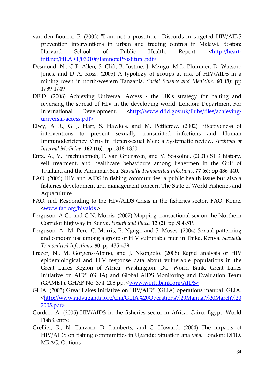- van den Bourne, F. (2003) "I am not a prostitute": Discords in targeted HIV/AIDS prevention interventions in urban and trading centres in Malawi. Boston: Harvard School of Public Health. Report. <http://heartintl.net/HEART/030106/IamnotaProstitute.pdf>
- Desmond, N., C F. Allen, S. Clift, B. Justine, J. Mzugu, M L. Plummer, D. Watson-Jones, and D A. Ross. (2005) A typology of groups at risk of HIV/AIDS in a mining town in north-western Tanzania. Social Science and Medicine. 60 (8): pp 1739-1749
- DFID. (2008) Achieving Universal Access the UK's strategy for halting and reversing the spread of HIV in the developing world. London: Department For International Development. <http://www.dfid.gov.uk/Pubs/files/achievinguniversal-access.pdf>
- Elwy, A R., G J. Hart, S. Hawkes, and M. Petticrew. (2002) Effectiveness of interventions to prevent sexually transmitted infections and Human Immunodeficiency Virus in Heterosexual Men: a Systematic review. Archives of Internal Medicine. 162 (16): pp 1818-1830
- Entz, A., V. Prachuabmoh, F. van Griensven, and V. Soskolne. (2001) STD history, self treatment, and healthcare behaviours among fishermen in the Gulf of Thailand and the Andaman Sea. Sexually Transmitted Infections. 77 (6): pp 436-440.
- FAO. (2006) HIV and AIDS in fishing communities: a public health issue but also a fisheries development and management concern The State of World Fisheries and Aquaculture
- FAO. n.d. Responding to the HIV/AIDS Crisis in the fisheries sector. FAO, Rome. <www.fao.org/hivaids >
- Ferguson, A G., and C N. Morris. (2007) Mapping transactional sex on the Northern Corridor highway in Kenya. Health and Place. 13 (2): pp 504-519
- Ferguson, A., M. Pere, C. Morris, E. Ngugi, and S. Moses. (2004) Sexual patterning and condom use among a group of HIV vulnerable men in Thika, Kenya. Sexually Transmitted Infections. 80: pp 435-439
- Frazer, N., M. Görgens-Albino, and J. Nkongolo. (2008) Rapid analysis of HIV epidemiological and HIV response data about vulnerable populations in the Great Lakes Region of Africa. Washington, DC: World Bank, Great Lakes Initiative on AIDS (GLIA) and Global AIDS Monitoring and Evaluation Team (GAMET). GHAP No. 374. 203 pp. <<u>www.worldbank.org/AIDS></u>
- GLIA. (2005) Great Lakes Initiative on HIV/AIDS (GLIA) operations manual. GLIA. <http://www.aidsuganda.org/glia/GLIA%20Operations%20Manual%20March%20 2005.pdf>
- Gordon, A. (2005) HIV/AIDS in the fisheries sector in Africa. Cairo, Egypt: World Fish Centre
- Grellier, R., N. Tanzarn, D. Lamberts, and C. Howard. (2004) The impacts of HIV/AIDS on fishing communities in Uganda: Situation analysis. London: DFID, MRAG, Options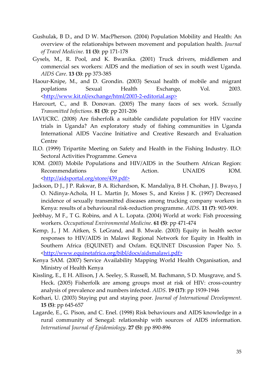- Gushulak, B D., and D W. MacPherson. (2004) Population Mobility and Health: An overview of the relationships between movement and population health. Journal of Travel Medicine. 11 (3): pp 171-178
- Gysels, M., R. Pool, and K. Bwanika. (2001) Truck drivers, middlemen and commercial sex workers: AIDS and the mediation of sex in south west Uganda. AIDS Care. 13 (3): pp 373-385
- Haour-Knipe, M., and D. Grondin. (2003) Sexual health of mobile and migrant poplations Sexual Health Exchange, Vol. 2003. <http://www.kit.nl/exchange/html/2003-2-editorial.asp>
- Harcourt, C., and B. Donovan. (2005) The many faces of sex work. Sexually Transmitted Infections. 81 (3): pp 201-206
- IAVI/CRC. (2008) Are fisherfolk a suitable candidate population for HIV vaccine trials in Uganda? An exploratory study of fishing communities in Uganda International AIDS Vaccine Initiative and Creative Research and Evaluation Centre
- ILO. (1999) Tripartite Meeting on Safety and Health in the Fishing Industry. ILO: Sectoral Activities Programme. Geneva
- IOM. (2003) Mobile Populations and HIV/AIDS in the Southern African Region: Recommendations for Action. UNAIDS IOM. <http://aidsportal.org/store/439.pdf>
- Jackson, D J., J P. Rakwar, B A. Richardson, K. Mandaliya, B H. Chohan, J J. Bwayo, J O. Ndinya-Achola, H L. Martin Jr, Moses S., and Kreiss J K. (1997) Decreased incidence of sexually transmitted diseases among trucking company workers in Kenya: results of a behavioural risk-reduction programme. AIDS. 11 (7): 903-909.
- Jeebhay, M F., T G. Robins, and A L. Lopata. (2004) World at work: Fish processing workers. Occupational Environmental Medicine. 61 (5): pp 471-474
- Kemp, J., J M. Aitken, S. LeGrand, and B. Mwale. (2003) Equity in health sector responses to HIV/AIDS in Malawi Regional Network for Equity in Health in Southern Africa (EQUINET) and Oxfam. EQUINET Discussion Paper No. 5. <http://www.equinetafrica.org/bibl/docs/aidsmalawi.pdf>
- Kenya SAM. (2007) Service Availability Mapping World Health Organisation, and Ministry of Health Kenya
- Kissling, E., E H. Allison, J A. Seeley, S. Russell, M. Bachmann, S D. Musgrave, and S. Heck. (2005) Fisherfolk are among groups most at risk of HIV: cross-country analysis of prevalence and numbers infected. AIDS. 19 (17): pp 1939-1946
- Kothari, U. (2003) Staying put and staying poor. Journal of International Development. 15 (5): pp 645-657
- Lagarde, E., G. Pison, and C. Enel. (1998) Risk behaviours and AIDS knowledge in a rural community of Senegal: relationship with sources of AIDS information. International Journal of Epidemiology. 27 (5): pp 890-896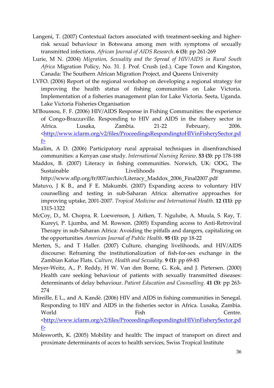- Langeni, T. (2007) Contextual factors associated with treatment-seeking and higherrisk sexual behaviour in Botswana among men with symptoms of sexually transmitted infections. African Journal of AIDS Research. 6 (3): pp 261-269
- Lurie, M N. (2004) Migration, Sexuality and the Spread of HIV/AIDS in Rural South Africa Migration Policy, No. 31. J. Prof. Crush (ed.). Cape Town and Kingston, Canada: The Southern African Migration Project, and Queens University
- LVFO. (2006) Report of the regional workshop on developing a regional strategy for improving the health status of fishing communities on Lake Victoria. Implementation of a fisheries management plan for Lake Victoria. Seeta, Uganda. Lake Victoria Fisheries Organisation
- M'Boussou, F. F. (2006) HIV/AIDS Response in Fishing Communities: the experience of Congo-Brazzaville. Responding to HIV and AIDS in the fishery sector in Africa. Lusaka, Zambia. 21-22 February, 2006. <http://www.iclarm.org/v2/files/ProceedingsRespondingtoHIVinFisherySector.pd f>
- Maalim, A D. (2006) Participatory rural appraisal techniques in disenfranchised communities: a Kenyan case study. International Nursing Review. 53 (3): pp 178-188
- Maddox, B. (2007) Literacy in fishing communities. Norwich, UK: ODG, The Sustainable Livelihoods Programme. http://www.sflp.org/fr/007/archiv/Literacy\_Maddox\_2006\_Final2007.pdf
- Matuvo, J K B., and F E. Makumbi. (2007) Expanding access to voluntary HIV counselling and testing in sub-Saharan Africa: alternative approaches for improving uptake, 2001-2007. Tropical Medicine and International Health. 12 (11): pp 1315-1322
- McCoy, D., M. Chopra, R. Loewenson, J. Aitken, T. Ngulube, A. Muula, S. Ray, T. Kureyi, P. Ljumba, and M. Rowson. (2005) Expanding access to Anti-Retroviral Therapy in sub-Saharan Africa: Avoiding the pitfalls and dangers, capitalizing on the opportunities American Journal of Public Health. 95 (1): pp 18-22
- Merten, S., and T Haller. (2007) Culture, changing livelihoods, and HIV/AIDS discourse: Reframing the institutionalization of fish-for-sex exchange in the Zambian Kafue Flats. Culture, Health and Sexuality. 9 (1): pp 69-83
- Meyer-Weitz, A., P. Reddy, H W. Van den Borne, G. Kok, and J. Pietersen. (2000) Health care seeking behaviour of patients with sexually transmitted diseases: determinants of delay behaviour. Patient Education and Counselling. 41 (3): pp 263- 274
- Mireille, E L., and A. Kandè. (2006) HIV and AIDS in fishing communities in Senegal. Responding to HIV and AIDS in the fisheries sector in Africa. Lusaka, Zambia. World **Fish** Fish Centre. <http://www.iclarm.org/v2/files/ProceedingsRespondingtoHIVinFisherySector.pd f>
- Molesworth, K. (2005) Mobility and health: The impact of transport on direct and proximate determinants of acces to health services, Swiss Tropical Institute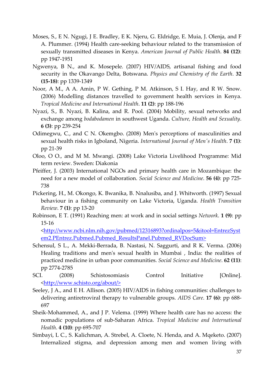- Moses, S., E N. Ngugi, J E. Bradley, E K. Njeru, G. Eldridge, E. Muia, J. Olenja, and F A. Plummer. (1994) Health care-seeking behaviour related to the transmission of sexually transmitted diseases in Kenya. American Journal of Public Health. 84 (12): pp 1947-1951
- Ngwenya, B N., and K. Mosepele. (2007) HIV/AIDS, artisanal fishing and food security in the Okavango Delta, Botswana. Physics and Chemistry of the Earth. 32 (15-18): pp 1339-1349
- Noor, A M., A A. Amin, P W. Gething, P M. Atkinson, S I. Hay, and R W. Snow. (2006) Modelling distances travelled to government health services in Kenya. Tropical Medicine and International Health. 11 (2): pp 188-196
- Nyazi, S., B. Nyazi, B. Kalina, and R. Pool. (2004) Mobility, sexual networks and exchange among bodabodamen in southwest Uganda. Culture, Health and Sexuality. 6 (3): pp 239-254
- Odimegwu, C., and C N. Okemgbo. (2008) Men's perceptions of masculinities and sexual health risks in Igboland, Nigeria. International Journal of Men's Health. 7 (1): pp 21-39
- Oloo, O O., and M M. Mwangi. (2008) Lake Victoria Livelihood Programme: Mid term review. Sweden: Diakonia
- Pfeiffer, J. (2003) International NGOs and primary health care in Mozambique: the need for a new model of collaboration. Social Science and Medicine. 56 (4): pp 725- 738
- Pickering, H., M. Okongo, K. Bwanika, B. Nnalusiba, and J. Whitworth. (1997) Sexual behaviour in a fishing community on Lake Victoria, Uganda. Health Transition Review. 7 (1): pp 13-20
- Robinson, E T. (1991) Reaching men: at work and in social settings Network. 1 (9): pp 15-16

<http://www.ncbi.nlm.nih.gov/pubmed/12316893?ordinalpos=5&itool=EntrezSyst em2.PEntrez.Pubmed.Pubmed\_ResultsPanel.Pubmed\_RVDocSum>

- Schensul, S L., A. Mekki-Berrada, B. Nastasi, N. Saggurti, and R K. Verma. (2006) Healing traditions and men's sexual health in Mumbai , India: the realities of practiced medicine in urban poor communities. Social Science and Medicine. 62 (11): pp 2774-2785
- SCI. (2008) Schistosomiasis Control Initiative [Online]. <http://www.schisto.org/about/>
- Seeley, J A., and E H. Allison. (2005) HIV/AIDS in fishing communities: challenges to delivering antiretroviral therapy to vulnerable groups. AIDS Care. 17 (6): pp 688- 697
- Sheik-Mohammed, A., and J P. Velema. (1999) Where health care has no access: the nomadic populations of sub-Saharan Africa. Tropical Medicine and International Health. 4 (10): pp 695-707
- Simbayi, L C., S. Kalichman, A. Strebel, A. Cloete, N. Henda, and A. Mqeketo. (2007) Internalized stigma, and depression among men and women living with